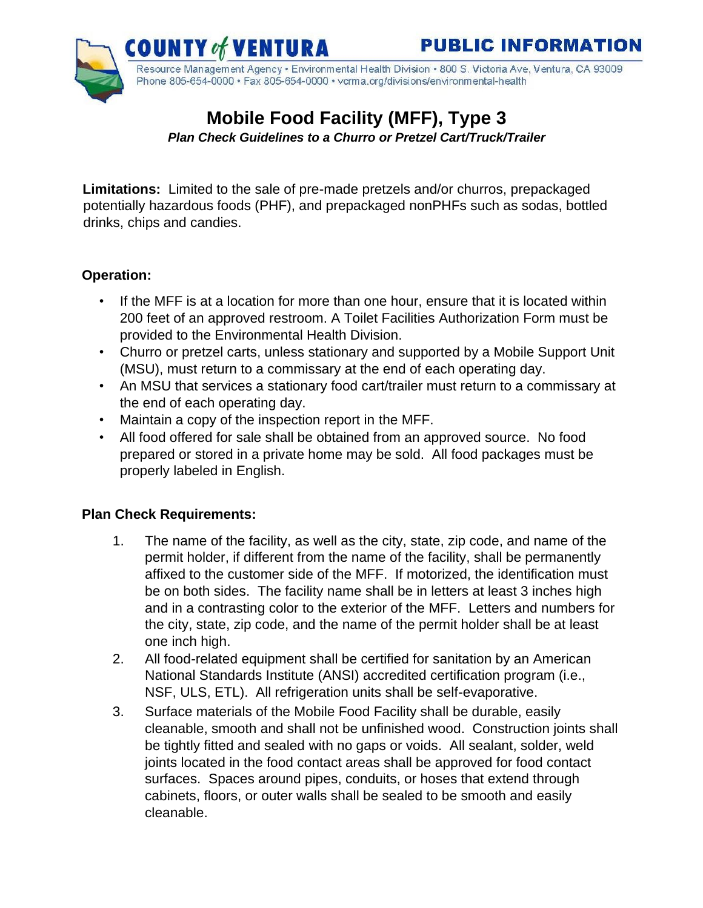

Resource Management Agency • Environmental Health Division • 800 S. Victoria Ave, Ventura, CA 93009 Phone 805-654-0000 · Fax 805-654-0000 · vcrma.org/divisions/environmental-health

# **Mobile Food Facility (MFF), Type 3**

 *Plan Check Guidelines to a Churro or Pretzel Cart/Truck/Trailer*

**Limitations:** Limited to the sale of pre-made pretzels and/or churros, prepackaged potentially hazardous foods (PHF), and prepackaged nonPHFs such as sodas, bottled drinks, chips and candies.

# **Operation:**

- If the MFF is at a location for more than one hour, ensure that it is located within 200 feet of an approved restroom. A Toilet Facilities Authorization Form must be provided to the Environmental Health Division.
- Churro or pretzel carts, unless stationary and supported by a Mobile Support Unit (MSU), must return to a commissary at the end of each operating day.
- An MSU that services a stationary food cart/trailer must return to a commissary at the end of each operating day.
- Maintain a copy of the inspection report in the MFF.
- All food offered for sale shall be obtained from an approved source. No food prepared or stored in a private home may be sold. All food packages must be properly labeled in English.

# **Plan Check Requirements:**

- 1. The name of the facility, as well as the city, state, zip code, and name of the permit holder, if different from the name of the facility, shall be permanently affixed to the customer side of the MFF. If motorized, the identification must be on both sides. The facility name shall be in letters at least 3 inches high and in a contrasting color to the exterior of the MFF. Letters and numbers for the city, state, zip code, and the name of the permit holder shall be at least one inch high.
- 2. All food-related equipment shall be certified for sanitation by an American National Standards Institute (ANSI) accredited certification program (i.e., NSF, ULS, ETL). All refrigeration units shall be self-evaporative.
- 3. Surface materials of the Mobile Food Facility shall be durable, easily cleanable, smooth and shall not be unfinished wood. Construction joints shall be tightly fitted and sealed with no gaps or voids. All sealant, solder, weld joints located in the food contact areas shall be approved for food contact surfaces. Spaces around pipes, conduits, or hoses that extend through cabinets, floors, or outer walls shall be sealed to be smooth and easily cleanable.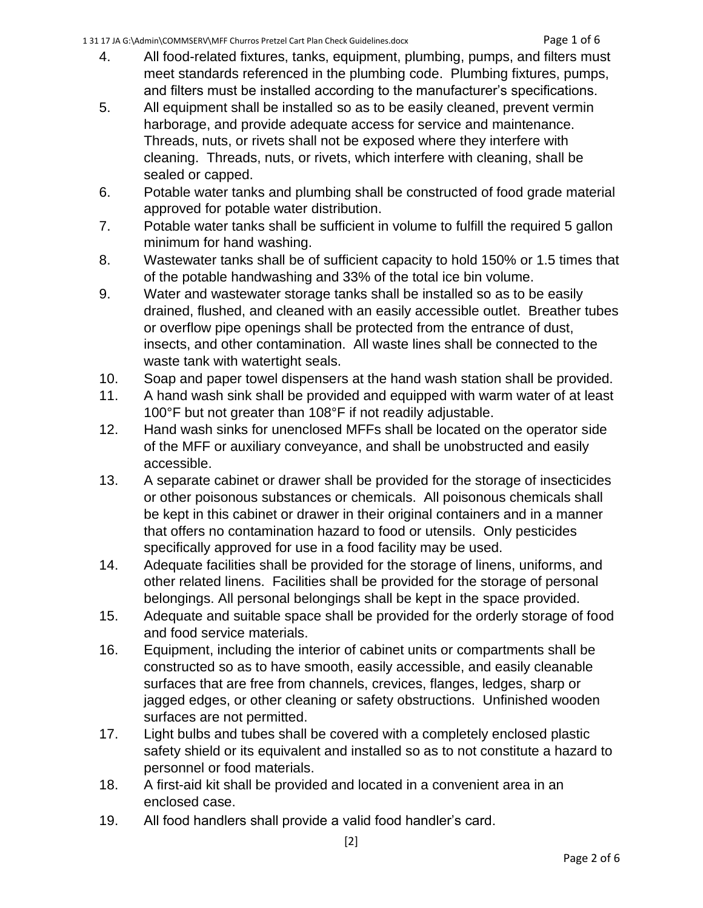- 4. All food-related fixtures, tanks, equipment, plumbing, pumps, and filters must meet standards referenced in the plumbing code. Plumbing fixtures, pumps, and filters must be installed according to the manufacturer's specifications.
- 5. All equipment shall be installed so as to be easily cleaned, prevent vermin harborage, and provide adequate access for service and maintenance. Threads, nuts, or rivets shall not be exposed where they interfere with cleaning. Threads, nuts, or rivets, which interfere with cleaning, shall be sealed or capped.
- 6. Potable water tanks and plumbing shall be constructed of food grade material approved for potable water distribution.
- 7. Potable water tanks shall be sufficient in volume to fulfill the required 5 gallon minimum for hand washing.
- 8. Wastewater tanks shall be of sufficient capacity to hold 150% or 1.5 times that of the potable handwashing and 33% of the total ice bin volume.
- 9. Water and wastewater storage tanks shall be installed so as to be easily drained, flushed, and cleaned with an easily accessible outlet. Breather tubes or overflow pipe openings shall be protected from the entrance of dust, insects, and other contamination. All waste lines shall be connected to the waste tank with watertight seals.
- 10. Soap and paper towel dispensers at the hand wash station shall be provided.
- 11. A hand wash sink shall be provided and equipped with warm water of at least 100°F but not greater than 108°F if not readily adjustable.
- 12. Hand wash sinks for unenclosed MFFs shall be located on the operator side of the MFF or auxiliary conveyance, and shall be unobstructed and easily accessible.
- 13. A separate cabinet or drawer shall be provided for the storage of insecticides or other poisonous substances or chemicals. All poisonous chemicals shall be kept in this cabinet or drawer in their original containers and in a manner that offers no contamination hazard to food or utensils. Only pesticides specifically approved for use in a food facility may be used.
- 14. Adequate facilities shall be provided for the storage of linens, uniforms, and other related linens. Facilities shall be provided for the storage of personal belongings. All personal belongings shall be kept in the space provided.
- 15. Adequate and suitable space shall be provided for the orderly storage of food and food service materials.
- 16. Equipment, including the interior of cabinet units or compartments shall be constructed so as to have smooth, easily accessible, and easily cleanable surfaces that are free from channels, crevices, flanges, ledges, sharp or jagged edges, or other cleaning or safety obstructions. Unfinished wooden surfaces are not permitted.
- 17. Light bulbs and tubes shall be covered with a completely enclosed plastic safety shield or its equivalent and installed so as to not constitute a hazard to personnel or food materials.
- 18. A first-aid kit shall be provided and located in a convenient area in an enclosed case.
- 19. All food handlers shall provide a valid food handler's card.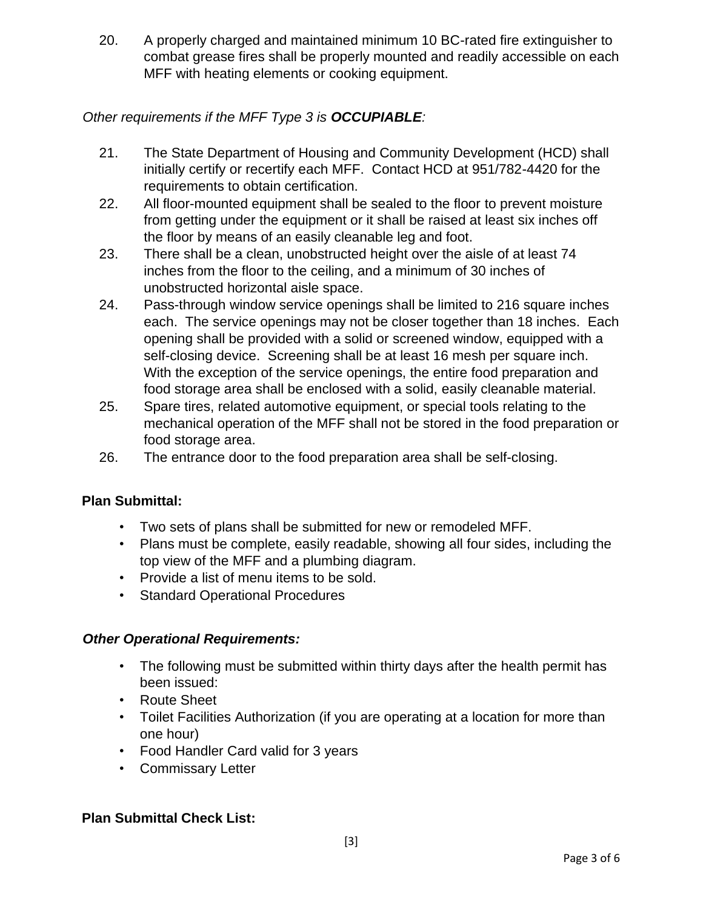20. A properly charged and maintained minimum 10 BC-rated fire extinguisher to combat grease fires shall be properly mounted and readily accessible on each MFF with heating elements or cooking equipment.

### *Other requirements if the MFF Type 3 is OCCUPIABLE:*

- 21. The State Department of Housing and Community Development (HCD) shall initially certify or recertify each MFF. Contact HCD at 951/782-4420 for the requirements to obtain certification.
- 22. All floor-mounted equipment shall be sealed to the floor to prevent moisture from getting under the equipment or it shall be raised at least six inches off the floor by means of an easily cleanable leg and foot.
- 23. There shall be a clean, unobstructed height over the aisle of at least 74 inches from the floor to the ceiling, and a minimum of 30 inches of unobstructed horizontal aisle space.
- 24. Pass-through window service openings shall be limited to 216 square inches each. The service openings may not be closer together than 18 inches. Each opening shall be provided with a solid or screened window, equipped with a self-closing device. Screening shall be at least 16 mesh per square inch. With the exception of the service openings, the entire food preparation and food storage area shall be enclosed with a solid, easily cleanable material.
- 25. Spare tires, related automotive equipment, or special tools relating to the mechanical operation of the MFF shall not be stored in the food preparation or food storage area.
- 26. The entrance door to the food preparation area shall be self-closing.

#### **Plan Submittal:**

- Two sets of plans shall be submitted for new or remodeled MFF.
- Plans must be complete, easily readable, showing all four sides, including the top view of the MFF and a plumbing diagram.
- Provide a list of menu items to be sold.
- Standard Operational Procedures

#### *Other Operational Requirements:*

- The following must be submitted within thirty days after the health permit has been issued:
- Route Sheet
- Toilet Facilities Authorization (if you are operating at a location for more than one hour)
- Food Handler Card valid for 3 years
- Commissary Letter

#### **Plan Submittal Check List:**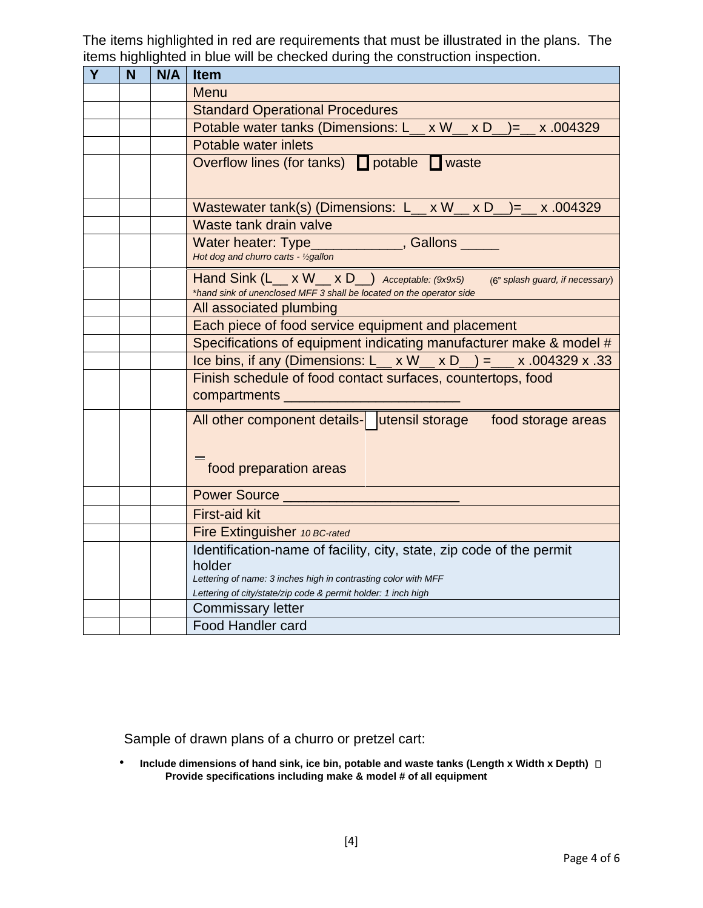The items highlighted in red are requirements that must be illustrated in the plans. The items highlighted in blue will be checked during the construction inspection.

| Y | N | N/A | <b>Item</b>                                                                                                                                                                                                       |
|---|---|-----|-------------------------------------------------------------------------------------------------------------------------------------------------------------------------------------------------------------------|
|   |   |     | Menu                                                                                                                                                                                                              |
|   |   |     | <b>Standard Operational Procedures</b>                                                                                                                                                                            |
|   |   |     | Potable water tanks (Dimensions: L_ x W_ x D_ )= x .004329                                                                                                                                                        |
|   |   |     | Potable water inlets                                                                                                                                                                                              |
|   |   |     | Overflow lines (for tanks) potable waste                                                                                                                                                                          |
|   |   |     | Wastewater tank(s) (Dimensions: L__ x W__ x D_)=_ x .004329                                                                                                                                                       |
|   |   |     | Waste tank drain valve                                                                                                                                                                                            |
|   |   |     | ______________, Gallons ____<br>Water heater: Type<br>Hot dog and churro carts - 1/2gallon                                                                                                                        |
|   |   |     | Hand Sink $(L_ x W_ x D_ )$ Acceptable: (9x9x5)<br>(6" splash guard, if necessary)<br>*hand sink of unenclosed MFF 3 shall be located on the operator side                                                        |
|   |   |     | All associated plumbing                                                                                                                                                                                           |
|   |   |     | Each piece of food service equipment and placement                                                                                                                                                                |
|   |   |     | Specifications of equipment indicating manufacturer make & model #                                                                                                                                                |
|   |   |     | Ice bins, if any (Dimensions: L_ x W_ x D_) = _ x .004329 x .33                                                                                                                                                   |
|   |   |     | Finish schedule of food contact surfaces, countertops, food<br>compartments                                                                                                                                       |
|   |   |     | All other component details- utensil storage food storage areas<br>food preparation areas                                                                                                                         |
|   |   |     | Power Source                                                                                                                                                                                                      |
|   |   |     | <b>First-aid kit</b>                                                                                                                                                                                              |
|   |   |     | Fire Extinguisher 10 BC-rated                                                                                                                                                                                     |
|   |   |     | Identification-name of facility, city, state, zip code of the permit<br>holder<br>Lettering of name: 3 inches high in contrasting color with MFF<br>Lettering of city/state/zip code & permit holder: 1 inch high |
|   |   |     | <b>Commissary letter</b>                                                                                                                                                                                          |
|   |   |     | <b>Food Handler card</b>                                                                                                                                                                                          |

Sample of drawn plans of a churro or pretzel cart:

• Include dimensions of hand sink, ice bin, potable and waste tanks (Length x Width x Depth)  $\Box$ **Provide specifications including make & model # of all equipment**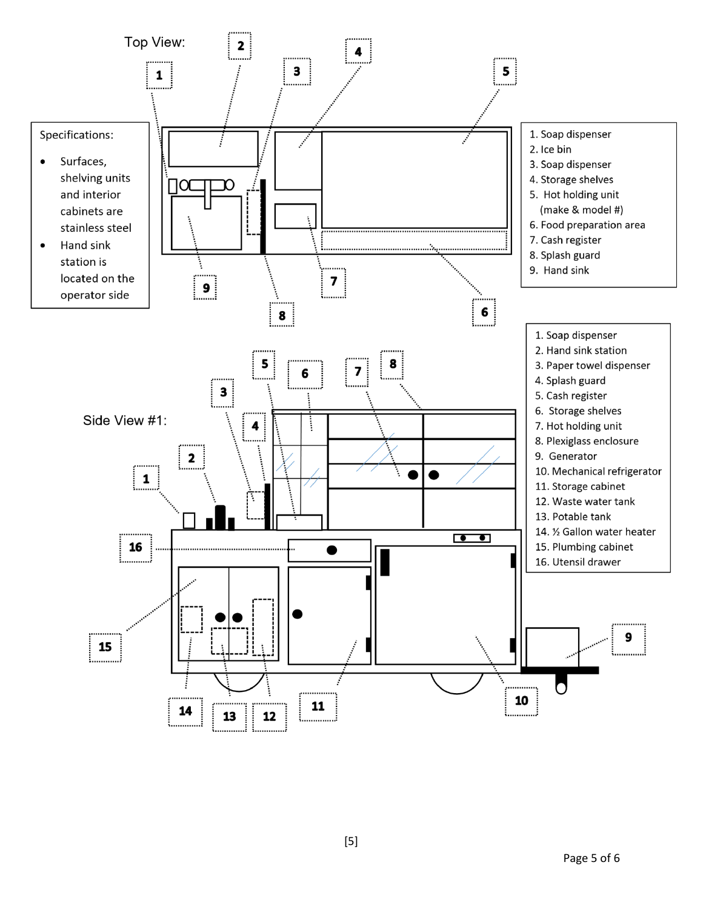